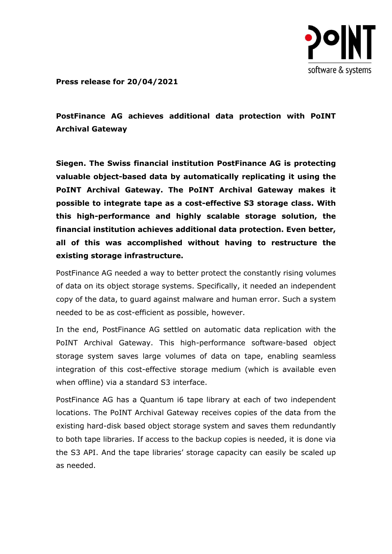

**Press release for 20/04/2021**

**PostFinance AG achieves additional data protection with PoINT Archival Gateway**

**Siegen. The Swiss financial institution PostFinance AG is protecting valuable object-based data by automatically replicating it using the PoINT Archival Gateway. The PoINT Archival Gateway makes it possible to integrate tape as a cost-effective S3 storage class. With this high-performance and highly scalable storage solution, the financial institution achieves additional data protection. Even better, all of this was accomplished without having to restructure the existing storage infrastructure.**

PostFinance AG needed a way to better protect the constantly rising volumes of data on its object storage systems. Specifically, it needed an independent copy of the data, to guard against malware and human error. Such a system needed to be as cost-efficient as possible, however.

In the end, PostFinance AG settled on automatic data replication with the PoINT Archival Gateway. This high-performance software-based object storage system saves large volumes of data on tape, enabling seamless integration of this cost-effective storage medium (which is available even when offline) via a standard S3 interface.

PostFinance AG has a Quantum i6 tape library at each of two independent locations. The PoINT Archival Gateway receives copies of the data from the existing hard-disk based object storage system and saves them redundantly to both tape libraries. If access to the backup copies is needed, it is done via the S3 API. And the tape libraries' storage capacity can easily be scaled up as needed.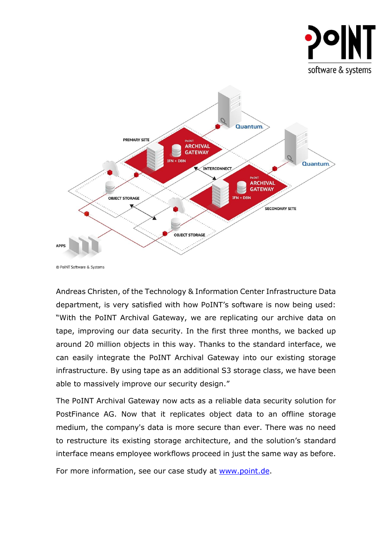



© PoINT Software & Systems

Andreas Christen, of the Technology & Information Center Infrastructure Data department, is very satisfied with how PoINT's software is now being used: "With the PoINT Archival Gateway, we are replicating our archive data on tape, improving our data security. In the first three months, we backed up around 20 million objects in this way. Thanks to the standard interface, we can easily integrate the PoINT Archival Gateway into our existing storage infrastructure. By using tape as an additional S3 storage class, we have been able to massively improve our security design."

The PoINT Archival Gateway now acts as a reliable data security solution for PostFinance AG. Now that it replicates object data to an offline storage medium, the company's data is more secure than ever. There was no need to restructure its existing storage architecture, and the solution's standard interface means employee workflows proceed in just the same way as before.

For more information, see our case study at [www.point.de.](http://www.point.de/)